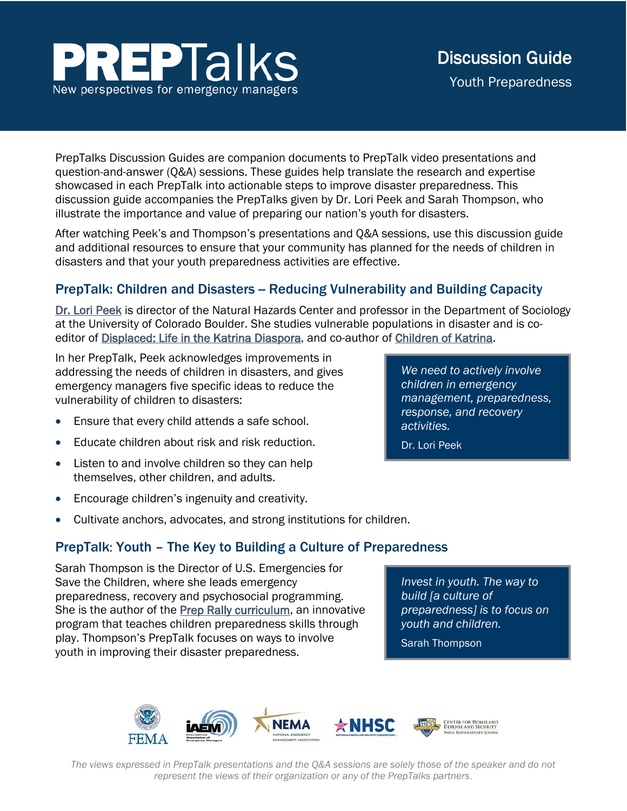# **EPTalks** New perspectives for emergency managers

PrepTalks Discussion Guides are companion documents to PrepTalk video presentations and question-and-answer (Q&A) sessions. These guides help translate the research and expertise showcased in each PrepTalk into actionable steps to improve disaster preparedness. This discussion guide accompanies the PrepTalks given by Dr. Lori Peek and Sarah Thompson, who illustrate the importance and value of preparing our nation's youth for disasters.

After watching Peek's and Thompson's presentations and Q&A sessions, use this discussion guide and additional resources to ensure that your community has planned for the needs of children in disasters and that your youth preparedness activities are effective.

# PrepTalk: Children and Disasters – Reducing Vulnerability and Building Capacity

[Dr. Lori Peek](https://hazards.colorado.edu/biography/lori-peek) is director of the Natural Hazards Center and professor in the Department of Sociology at the University of Colorado Boulder. She studies vulnerable populations in disaster and is co-editor of [Displaced: Life in the Katrina Diaspora,](https://utpress.utexas.edu/books/webdis) and co-author of [Children of Katrina.](https://hazards.colorado.edu/article/children-of-katrina)

In her PrepTalk, Peek acknowledges improvements in addressing the needs of children in disasters, and gives emergency managers five specific ideas to reduce the vulnerability of children to disasters:

- Ensure that every child attends a safe school.
- Educate children about risk and risk reduction.
- Listen to and involve children so they can help themselves, other children, and adults.
- Encourage children's ingenuity and creativity.
- Cultivate anchors, advocates, and strong institutions for children.

## PrepTalk: Youth – The Key to Building a Culture of Preparedness

Sarah Thompson is the Director of U.S. Emergencies for Save the Children, where she leads emergency preparedness, recovery and psychosocial programming. She is the author of the [Prep Rally curriculum,](https://secure.savethechildren.org/site/c.8rKLIXMGIpI4E/b.9085951/k.B899/Get_Ready_Get_Safe_Community.htm) an innovative program that teaches children preparedness skills through play. Thompson's PrepTalk focuses on ways to involve youth in improving their disaster preparedness.

*Invest in youth. The way to build [a culture of preparedness] is to focus on youth and children.* 

Sarah Thompson



*The views expressed in PrepTalk presentations and the Q&A sessions are solely those of the speaker and do not represent the views of their organization or any of the PrepTalks partners*.

*We need to actively involve children in emergency management, preparedness, response, and recovery activities.* 

Dr. Lori Peek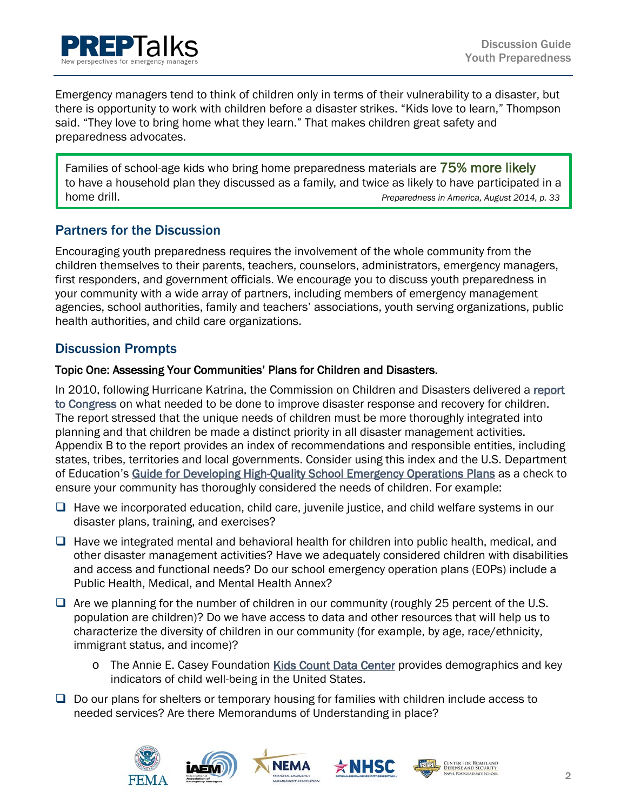

Emergency managers tend to think of children only in terms of their vulnerability to a disaster, but there is opportunity to work with children before a disaster strikes. "Kids love to learn," Thompson said. "They love to bring home what they learn." That makes children great safety and preparedness advocates.

Families of school-age kids who bring home preparedness materials are 75% more likely to have a household plan they discussed as a family, and twice as likely to have participated in a home drill. *Preparedness in America, August 2014, p. 33*

## Partners for the Discussion

Encouraging youth preparedness requires the involvement of the whole community from the children themselves to their parents, teachers, counselors, administrators, emergency managers, first responders, and government officials. We encourage you to discuss youth preparedness in your community with a wide array of partners, including members of emergency management agencies, school authorities, family and teachers' associations, youth serving organizations, public health authorities, and child care organizations.

### Discussion Prompts

#### Topic One: Assessing Your Communities' Plans for Children and Disasters.

In 2010, following Hurricane Katrina, the Commission on Children and Disasters delivered a [report](https://archive.ahrq.gov/prep/nccdreport/nccdreport.pdf)  [to Congress](https://archive.ahrq.gov/prep/nccdreport/nccdreport.pdf) on what needed to be done to improve disaster response and recovery for children. The report stressed that the unique needs of children must be more thoroughly integrated into planning and that children be made a distinct priority in all disaster management activities. Appendix B to the report provides an index of recommendations and responsible entities, including states, tribes, territories and local governments. Consider using this index and the U.S. Department of Education's [Guide for Developing High-Quality School Emergency Operations Plans](https://rems.ed.gov/docs/REMS_K-12_Guide_508.pdf) as a check to ensure your community has thoroughly considered the needs of children. For example:

- $\Box$  Have we incorporated education, child care, juvenile justice, and child welfare systems in our disaster plans, training, and exercises?
- $\Box$  Have we integrated mental and behavioral health for children into public health, medical, and other disaster management activities? Have we adequately considered children with disabilities and access and functional needs? Do our school emergency operation plans (EOPs) include a Public Health, Medical, and Mental Health Annex?
- $\Box$  Are we planning for the number of children in our community (roughly 25 percent of the U.S. population are children)? Do we have access to data and other resources that will help us to characterize the diversity of children in our community (for example, by age, race/ethnicity, immigrant status, and income)?
	- o The Annie E. Casey Foundation [Kids Count Data Center](https://datacenter.kidscount.org/) provides demographics and key indicators of child well-being in the United States.
- $\Box$  Do our plans for shelters or temporary housing for families with children include access to needed services? Are there Memorandums of Understanding in place?

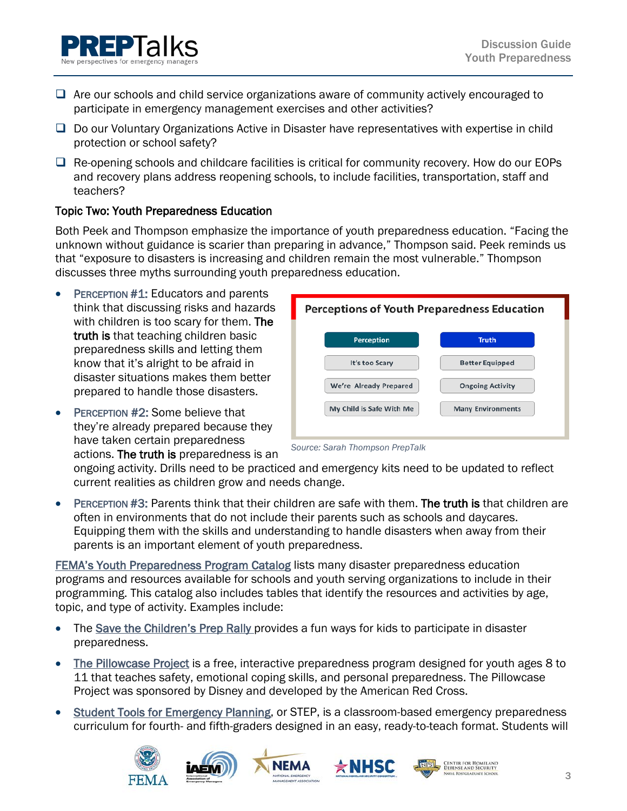- $\Box$  Are our schools and child service organizations aware of community actively encouraged to participate in emergency management exercises and other activities?
- $\Box$  Do our Voluntary Organizations Active in Disaster have representatives with expertise in child protection or school safety?
- $\Box$  Re-opening schools and childcare facilities is critical for community recovery. How do our EOPs and recovery plans address reopening schools, to include facilities, transportation, staff and teachers?

#### Topic Two: Youth Preparedness Education

Both Peek and Thompson emphasize the importance of youth preparedness education. "Facing the unknown without guidance is scarier than preparing in advance," Thompson said. Peek reminds us that "exposure to disasters is increasing and children remain the most vulnerable." Thompson discusses three myths surrounding youth preparedness education.

- PERCEPTION #1: Educators and parents think that discussing risks and hazards with children is too scary for them. The truth is that teaching children basic preparedness skills and letting them know that it's alright to be afraid in disaster situations makes them better prepared to handle those disasters.
- PERCEPTION #2: Some believe that they're already prepared because they have taken certain preparedness actions. The truth is preparedness is an





ongoing activity. Drills need to be practiced and emergency kits need to be updated to reflect current realities as children grow and needs change.

• PERCEPTION #3: Parents think that their children are safe with them. The truth is that children are often in environments that do not include their parents such as schools and daycares. Equipping them with the skills and understanding to handle disasters when away from their parents is an important element of youth preparedness.

[FEMA's Youth Preparedness Program Catalog](https://www.fema.gov/media-library/assets/documents/94775) lists many disaster preparedness education programs and resources available for schools and youth serving organizations to include in their programming. This catalog also includes tables that identify the resources and activities by age, topic, and type of activity. Examples include:

- The [Save the Children's Prep Rally](https://secure.savethechildren.org/site/c.8rKLIXMGIpI4E/b.9085951/k.B899/Get_Ready_Get_Safe_Community.htm) provides a fun ways for kids to participate in disaster preparedness.
- [The Pillowcase Project](http://redcrossyouth.org/2015/09/24/the-pillowcase-project/) is a free, interactive preparedness program designed for youth ages 8 to 11 that teaches safety, emotional coping skills, and personal preparedness. The Pillowcase Project was sponsored by Disney and developed by the American Red Cross.
- [Student Tools for Emergency Planning,](https://www.fema.gov/media-library/assets/documents/110946) or STEP, is a classroom-based emergency preparedness curriculum for fourth- and fifth-graders designed in an easy, ready-to-teach format. Students will









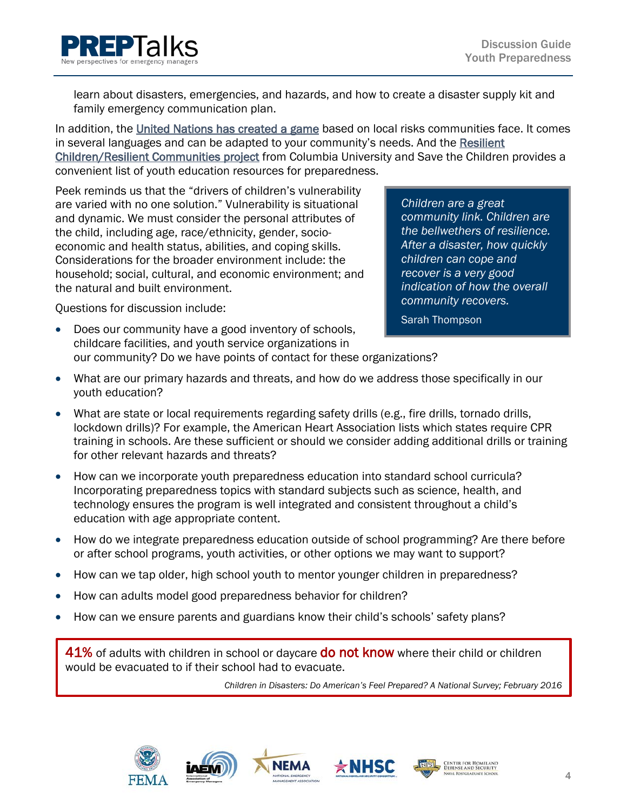

learn about disasters, emergencies, and hazards, and how to create a disaster supply kit and family emergency communication plan.

In addition, the [United Nations has created a game](https://www.unisdr.org/we/inform/publications/2114) based on local risks communities face. It comes in several languages and can be adapted to your community's needs. And the [Resilient](https://ncdp.columbia.edu/microsite-page/resilient-children-resilient-communities/rcrc-preparedness-tools/)  [Children/Resilient Communities project](https://ncdp.columbia.edu/microsite-page/resilient-children-resilient-communities/rcrc-preparedness-tools/) from Columbia University and Save the Children provides a convenient list of youth education resources for preparedness.

Peek reminds us that the "drivers of children's vulnerability are varied with no one solution." Vulnerability is situational and dynamic. We must consider the personal attributes of the child, including age, race/ethnicity, gender, socioeconomic and health status, abilities, and coping skills. Considerations for the broader environment include: the household; social, cultural, and economic environment; and the natural and built environment.

*Children are a great community link. Children are the bellwethers of resilience. After a disaster, how quickly children can cope and recover is a very good indication of how the overall community recovers.* 

Sarah Thompson

Questions for discussion include:

- Does our community have a good inventory of schools, childcare facilities, and youth service organizations in our community? Do we have points of contact for these organizations?
- What are our primary hazards and threats, and how do we address those specifically in our youth education?
- What are state or local requirements regarding safety drills (e.g., fire drills, tornado drills, lockdown drills)? For example, the [American Heart Association](https://cpr.heart.org/AHAECC/CPRAndECC/Programs/CPRInSchools/UCM_475820_CPR-in-Schools-Legislation-Map.jsp) lists which states require CPR training in schools. Are these sufficient or should we consider adding additional drills or training for other relevant hazards and threats?
- How can we incorporate youth preparedness education into standard school curricula? Incorporating preparedness topics with standard subjects such as science, health, and technology ensures the program is well integrated and consistent throughout a child's education with age appropriate content.
- How do we integrate preparedness education outside of school programming? Are there before or after school programs, youth activities, or other options we may want to support?
- How can we tap older, high school youth to mentor younger children in preparedness?
- How can adults model good preparedness behavior for children?
- How can we ensure parents and guardians know their child's schools' safety plans?

41% of adults with children in school or daycare **do not know** where their child or children would be evacuated to if their school had to evacuate.

NEMA

*Children in Disasters: Do American's Feel Prepared? A National Survey; February 2016*



L





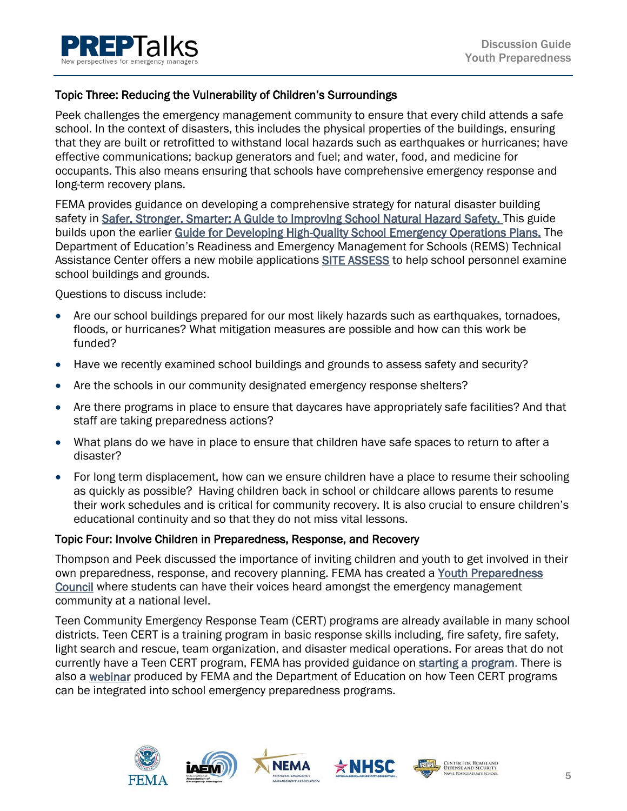

#### Topic Three: Reducing the Vulnerability of Children's Surroundings

Peek challenges the emergency management community to ensure that every child attends a safe school. In the context of disasters, this includes the physical properties of the buildings, ensuring that they are built or retrofitted to withstand local hazards such as earthquakes or hurricanes; have effective communications; backup generators and fuel; and water, food, and medicine for occupants. This also means ensuring that schools have comprehensive emergency response and long-term recovery plans.

FEMA provides guidance on developing a comprehensive strategy for natural disaster building safety in [Safer, Stronger, Smarter: A Guide to Improving School Natural Hazard Safety.](https://www.fema.gov/media-library/assets/documents/132592) This guide builds upon the earlier [Guide for Developing High-Quality School Emergency Operations Plans.](https://www.fema.gov/media-library/assets/documents/33599) The Department of Education's Readiness and Emergency Management for Schools (REMS) Technical Assistance Center offers a new mobile applications [SITE ASSESS](https://rems.ed.gov/SITEASSESS.aspx) to help school personnel examine school buildings and grounds.

Questions to discuss include:

- Are our school buildings prepared for our most likely hazards such as earthquakes, tornadoes, floods, or hurricanes? What mitigation measures are possible and how can this work be funded?
- Have we recently examined school buildings and grounds to assess safety and security?
- Are the schools in our community designated emergency response shelters?
- Are there programs in place to ensure that daycares have appropriately safe facilities? And that staff are taking preparedness actions?
- What plans do we have in place to ensure that children have safe spaces to return to after a disaster?
- For long term displacement, how can we ensure children have a place to resume their schooling as quickly as possible? Having children back in school or childcare allows parents to resume their work schedules and is critical for community recovery. It is also crucial to ensure children's educational continuity and so that they do not miss vital lessons.

#### Topic Four: Involve Children in Preparedness, Response, and Recovery

Thompson and Peek discussed the importance of inviting children and youth to get involved in their own preparedness, response, and recovery planning. FEMA has created a [Youth Preparedness](https://www.ready.gov/youth-preparedness-council)  [Council](https://www.ready.gov/youth-preparedness-council) where students can have their voices heard amongst the emergency management community at a national level.

Teen Community Emergency Response Team (CERT) programs are already available in many school districts. Teen CERT is a training program in basic response skills including, fire safety, fire safety, light search and rescue, team organization, and disaster medical operations. For areas that do not currently have a Teen CERT program, FEMA has provided guidance o[n starting a program.](https://www.fema.gov/media-library/assets/documents/28048) There is also a [webinar](https://rems.ed.gov/TeenCertEnhancingSchoolEmergMgrment.aspx) produced by FEMA and the Department of Education on how Teen CERT programs can be integrated into school emergency preparedness programs.

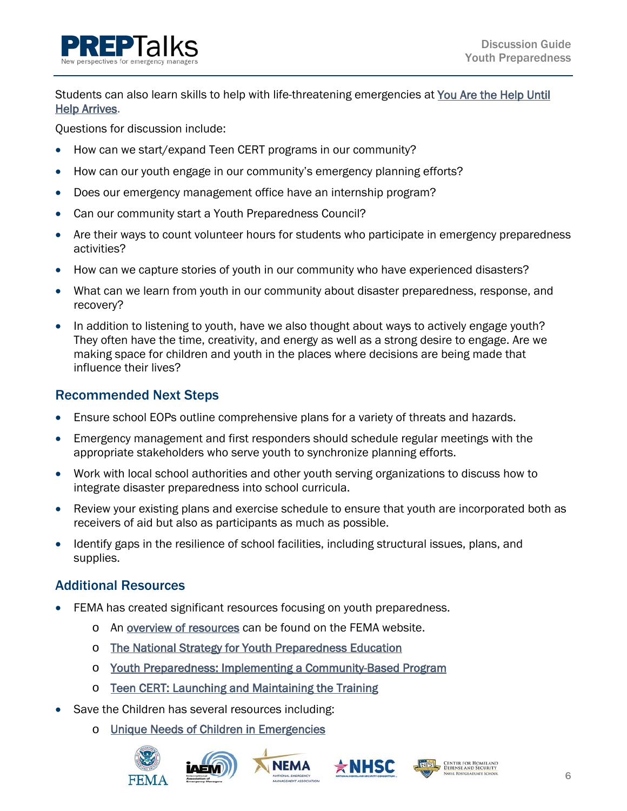Students can also learn skills to help with life-threatening emergencies at You Are the Help Until [Help Arrives.](https://community.fema.gov/until-help-arrives)

Questions for discussion include:

- How can we start/expand Teen CERT programs in our community?
- How can our youth engage in our community's emergency planning efforts?
- Does our emergency management office have an internship program?
- Can our community start a Youth Preparedness Council?
- Are their ways to count volunteer hours for students who participate in emergency preparedness activities?
- How can we capture stories of youth in our community who have experienced disasters?
- What can we learn from youth in our community about disaster preparedness, response, and recovery?
- In addition to listening to youth, have we also thought about ways to actively engage youth? They often have the time, creativity, and energy as well as a strong desire to engage. Are we making space for children and youth in the places where decisions are being made that influence their lives?

# Recommended Next Steps

- Ensure school EOPs outline comprehensive plans for a variety of threats and hazards.
- Emergency management and first responders should schedule regular meetings with the appropriate stakeholders who serve youth to synchronize planning efforts.
- Work with local school authorities and other youth serving organizations to discuss how to integrate disaster preparedness into school curricula.
- Review your existing plans and exercise schedule to ensure that youth are incorporated both as receivers of aid but also as participants as much as possible.
- Identify gaps in the resilience of school facilities, including structural issues, plans, and supplies.

# Additional Resources

- FEMA has created significant resources focusing on youth preparedness.
	- o An [overview of resources](https://www.ready.gov/youth-preparedness) can be found on the FEMA website.
	- o [The National Strategy for Youth Preparedness Education](https://www.fema.gov/media-library-data/1424356089661-ef9f14ceb081cc1ba4fcf3eb9e5b3107/National_Strategy_Youth_Preparedness_Education.pdf)
	- o [Youth Preparedness: Implementing a Community-Based Program](https://www.fema.gov/media-library/assets/documents/30515)

**NEMA** 

- o [Teen CERT: Launching and Maintaining the Training](https://www.fema.gov/media-library-data/1449865324894-7898237eb0427d36e98932589825151b/teen_cert_launch_maintaintraining_508_111315.pdf)
- Save the Children has several resources including:
	- o [Unique Needs of Children in Emergencies](https://secure.savethechildren.org/atf/cf/%7B9def2ebe-10ae-432c-9bd0-df91d2eba74a%7D/UNIQUENEEDSOFCHILDRENINEMERGENCIES.PDF)